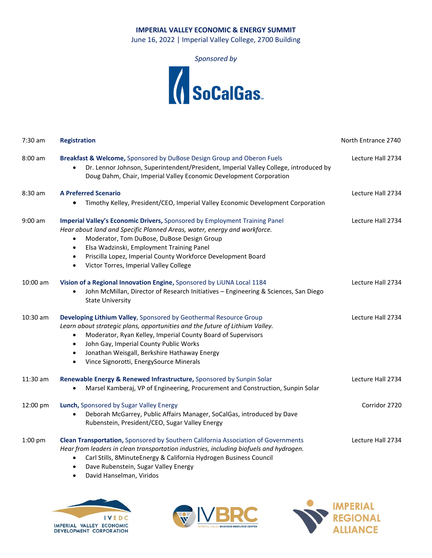## **IMPERIAL VALLEY ECONOMIC & ENERGY SUMMIT**

June 16, 2022 | Imperial Valley College, 2700 Building

*Sponsored by*



| $7:30$ am  | <b>Registration</b>                                                                                                                                                                                                                                                                                                                                                                                             | North Entrance 2740 |
|------------|-----------------------------------------------------------------------------------------------------------------------------------------------------------------------------------------------------------------------------------------------------------------------------------------------------------------------------------------------------------------------------------------------------------------|---------------------|
| $8:00$ am  | Breakfast & Welcome, Sponsored by DuBose Design Group and Oberon Fuels<br>Dr. Lennor Johnson, Superintendent/President, Imperial Valley College, introduced by<br>$\bullet$<br>Doug Dahm, Chair, Imperial Valley Economic Development Corporation                                                                                                                                                               | Lecture Hall 2734   |
| 8:30 am    | <b>A Preferred Scenario</b><br>Timothy Kelley, President/CEO, Imperial Valley Economic Development Corporation                                                                                                                                                                                                                                                                                                  | Lecture Hall 2734   |
| $9:00$ am  | Imperial Valley's Economic Drivers, Sponsored by Employment Training Panel<br>Hear about land and Specific Planned Areas, water, energy and workforce.<br>Moderator, Tom DuBose, DuBose Design Group<br>$\bullet$<br>Elsa Wadzinski, Employment Training Panel<br>$\bullet$<br>Priscilla Lopez, Imperial County Workforce Development Board<br>$\bullet$<br>Victor Torres, Imperial Valley College<br>$\bullet$ | Lecture Hall 2734   |
| $10:00$ am | Vision of a Regional Innovation Engine, Sponsored by LiUNA Local 1184<br>John McMillan, Director of Research Initiatives - Engineering & Sciences, San Diego<br>$\bullet$<br><b>State University</b>                                                                                                                                                                                                            | Lecture Hall 2734   |
| $10:30$ am | Developing Lithium Valley, Sponsored by Geothermal Resource Group<br>Learn about strategic plans, opportunities and the future of Lithium Valley.<br>Moderator, Ryan Kelley, Imperial County Board of Supervisors<br>٠<br>John Gay, Imperial County Public Works<br>$\bullet$<br>Jonathan Weisgall, Berkshire Hathaway Energy<br>٠<br>Vince Signorotti, EnergySource Minerals<br>$\bullet$                      | Lecture Hall 2734   |
| $11:30$ am | Renewable Energy & Renewed Infrastructure, Sponsored by Sunpin Solar<br>Marsel Kamberaj, VP of Engineering, Procurement and Construction, Sunpin Solar<br>$\bullet$                                                                                                                                                                                                                                             | Lecture Hall 2734   |
| 12:00 pm   | Lunch, Sponsored by Sugar Valley Energy<br>Deborah McGarrey, Public Affairs Manager, SoCalGas, introduced by Dave<br>$\bullet$<br>Rubenstein, President/CEO, Sugar Valley Energy                                                                                                                                                                                                                                | Corridor 2720       |
| 1:00 pm    | Clean Transportation, Sponsored by Southern California Association of Governments<br>Hear from leaders in clean transportation industries, including biofuels and hydrogen.<br>Carl Stills, 8MinuteEnergy & California Hydrogen Business Council<br>$\bullet$                                                                                                                                                   | Lecture Hall 2734   |

- Dave Rubenstein, Sugar Valley Energy
- David Hanselman, Viridos